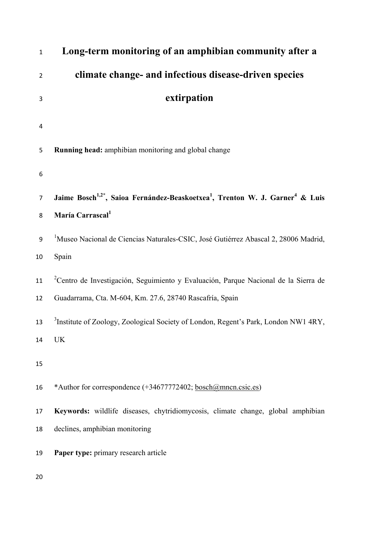| $\mathbf{1}$   | Long-term monitoring of an amphibian community after a                                                            |
|----------------|-------------------------------------------------------------------------------------------------------------------|
| $\overline{2}$ | climate change- and infectious disease-driven species                                                             |
| 3              | extirpation                                                                                                       |
| 4              |                                                                                                                   |
| 5              | Running head: amphibian monitoring and global change                                                              |
| 6              |                                                                                                                   |
| $\overline{7}$ | Jaime Bosch <sup>1,2*</sup> , Saioa Fernández-Beaskoetxea <sup>1</sup> , Trenton W. J. Garner <sup>4</sup> & Luis |
| 8              | María Carrascal <sup>1</sup>                                                                                      |
| 9              | <sup>1</sup> Museo Nacional de Ciencias Naturales-CSIC, José Gutiérrez Abascal 2, 28006 Madrid,                   |
| 10             | Spain                                                                                                             |
| 11             | <sup>2</sup> Centro de Investigación, Seguimiento y Evaluación, Parque Nacional de la Sierra de                   |
| 12             | Guadarrama, Cta. M-604, Km. 27.6, 28740 Rascafría, Spain                                                          |
| 13             | <sup>3</sup> Institute of Zoology, Zoological Society of London, Regent's Park, London NW1 4RY,                   |
| 14             | <b>UK</b>                                                                                                         |
| 15             |                                                                                                                   |
| 16             | *Author for correspondence (+34677772402; bosch@mncn.csic.es)                                                     |
| 17             | Keywords: wildlife diseases, chytridiomycosis, climate change, global amphibian                                   |
| 18             | declines, amphibian monitoring                                                                                    |
| 19             | Paper type: primary research article                                                                              |
| 20             |                                                                                                                   |